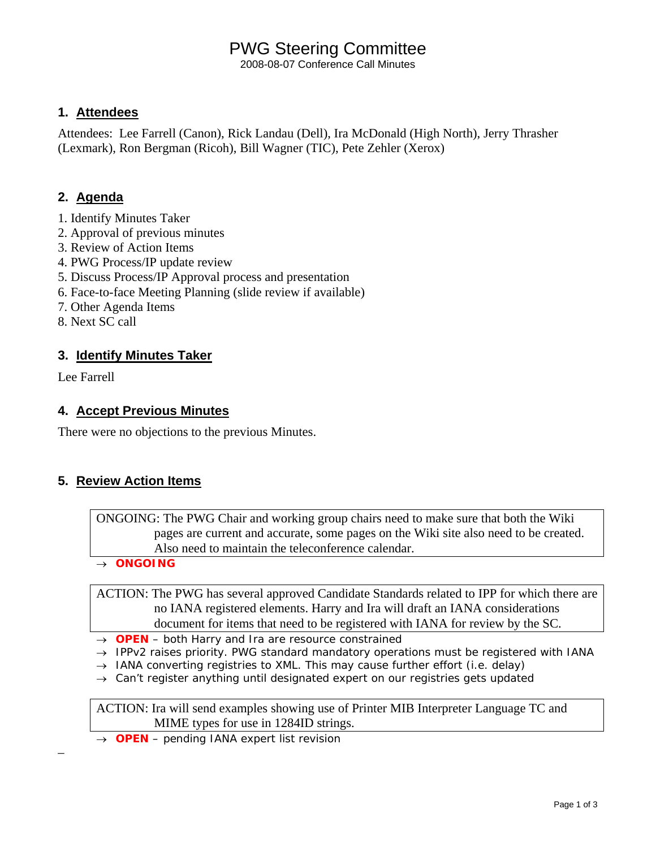# PWG Steering Committee

2008-08-07 Conference Call Minutes

#### **1. Attendees**

Attendees: Lee Farrell (Canon), Rick Landau (Dell), Ira McDonald (High North), Jerry Thrasher (Lexmark), Ron Bergman (Ricoh), Bill Wagner (TIC), Pete Zehler (Xerox)

### **2. Agenda**

- 1. Identify Minutes Taker
- 2. Approval of previous minutes
- 3. Review of Action Items
- 4. PWG Process/IP update review
- 5. Discuss Process/IP Approval process and presentation
- 6. Face-to-face Meeting Planning (slide review if available)
- 7. Other Agenda Items
- 8. Next SC call

#### **3. Identify Minutes Taker**

Lee Farrell

–

#### **4. Accept Previous Minutes**

There were no objections to the previous Minutes.

#### **5. Review Action Items**

ONGOING: The PWG Chair and working group chairs need to make sure that both the Wiki pages are current and accurate, some pages on the Wiki site also need to be created. Also need to maintain the teleconference calendar.

→ *ONGOING* 

ACTION: The PWG has several approved Candidate Standards related to IPP for which there are no IANA registered elements. Harry and Ira will draft an IANA considerations document for items that need to be registered with IANA for review by the SC.

→ *OPEN – both Harry and Ira are resource constrained* 

- → *IPPv2 raises priority. PWG standard mandatory operations must be registered with IANA*
- → *IANA converting registries to XML. This may cause further effort (i.e. delay)*
- → *Can't register anything until designated expert on our registries gets updated*

ACTION: Ira will send examples showing use of Printer MIB Interpreter Language TC and MIME types for use in 1284ID strings.

→ *OPEN – pending IANA expert list revision*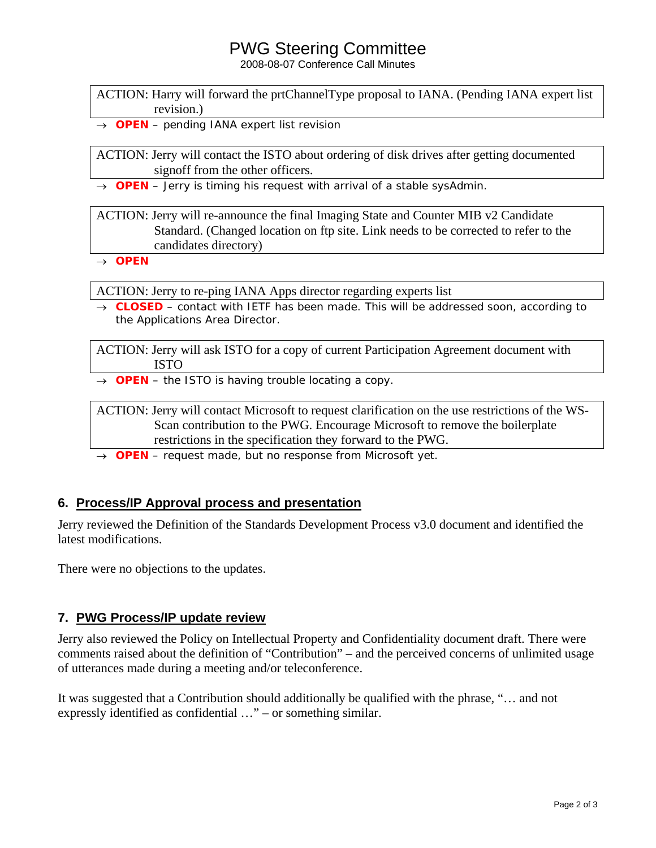### PWG Steering Committee

2008-08-07 Conference Call Minutes

ACTION: Harry will forward the prtChannelType proposal to IANA. (Pending IANA expert list revision.)

→ *OPEN – pending IANA expert list revision*

ACTION: Jerry will contact the ISTO about ordering of disk drives after getting documented signoff from the other officers.

→ *OPEN – Jerry is timing his request with arrival of a stable sysAdmin.* 

ACTION: Jerry will re-announce the final Imaging State and Counter MIB v2 Candidate Standard. (Changed location on ftp site. Link needs to be corrected to refer to the candidates directory)

→ *OPEN* 

ACTION: Jerry to re-ping IANA Apps director regarding experts list

→ *CLOSED – contact with IETF has been made. This will be addressed soon, according to the Applications Area Director.* 

ACTION: Jerry will ask ISTO for a copy of current Participation Agreement document with ISTO

→ *OPEN – the ISTO is having trouble locating a copy.*

ACTION: Jerry will contact Microsoft to request clarification on the use restrictions of the WS-Scan contribution to the PWG. Encourage Microsoft to remove the boilerplate restrictions in the specification they forward to the PWG.

→ *OPEN – request made, but no response from Microsoft yet.*

#### **6. Process/IP Approval process and presentation**

Jerry reviewed the Definition of the Standards Development Process v3.0 document and identified the latest modifications.

There were no objections to the updates.

#### **7. PWG Process/IP update review**

Jerry also reviewed the Policy on Intellectual Property and Confidentiality document draft. There were comments raised about the definition of "Contribution" – and the perceived concerns of unlimited usage of utterances made during a meeting and/or teleconference.

It was suggested that a Contribution should additionally be qualified with the phrase, "… and not expressly identified as confidential …" – or something similar.